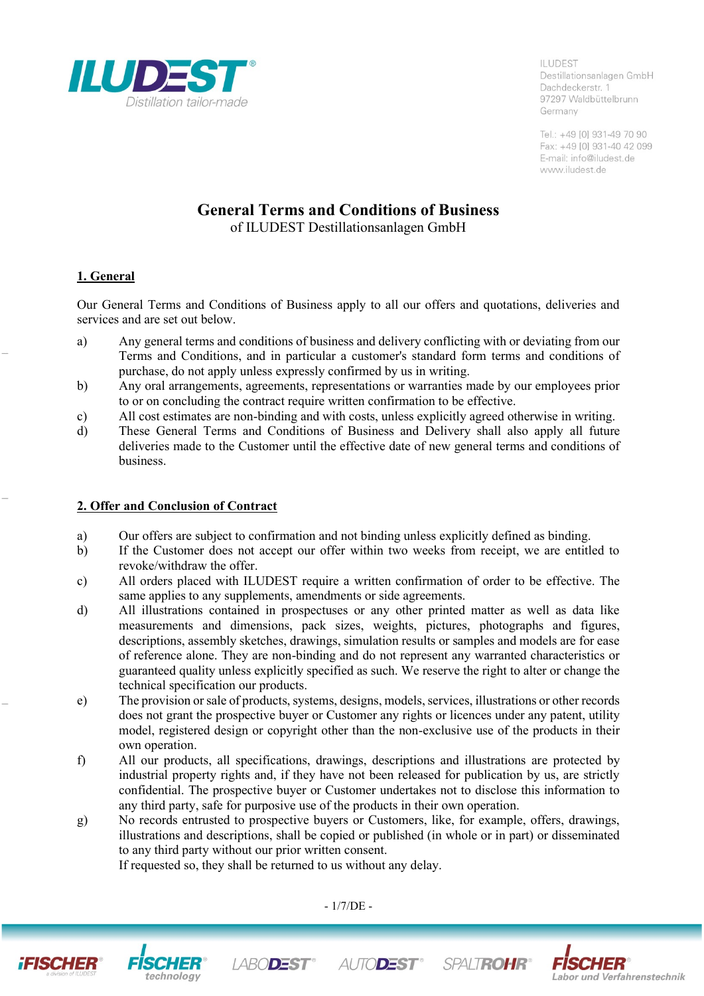

Tel.: +49 [0] 931-49 70 90 Fax: +49 [0] 931-40 42 099 E-mail: info@iludest.de www.iludest.de

# **General Terms and Conditions of Business**

of ILUDEST Destillationsanlagen GmbH

# **1. General**

Our General Terms and Conditions of Business apply to all our offers and quotations, deliveries and services and are set out below.

- a) Any general terms and conditions of business and delivery conflicting with or deviating from our Terms and Conditions, and in particular a customer's standard form terms and conditions of purchase, do not apply unless expressly confirmed by us in writing.
- b) Any oral arrangements, agreements, representations or warranties made by our employees prior to or on concluding the contract require written confirmation to be effective.
- c) All cost estimates are non-binding and with costs, unless explicitly agreed otherwise in writing.
- d) These General Terms and Conditions of Business and Delivery shall also apply all future deliveries made to the Customer until the effective date of new general terms and conditions of business.

## **2. Offer and Conclusion of Contract**

- a) Our offers are subject to confirmation and not binding unless explicitly defined as binding.
- b) If the Customer does not accept our offer within two weeks from receipt, we are entitled to revoke/withdraw the offer.
- c) All orders placed with ILUDEST require a written confirmation of order to be effective. The same applies to any supplements, amendments or side agreements.
- d) All illustrations contained in prospectuses or any other printed matter as well as data like measurements and dimensions, pack sizes, weights, pictures, photographs and figures, descriptions, assembly sketches, drawings, simulation results or samples and models are for ease of reference alone. They are non-binding and do not represent any warranted characteristics or guaranteed quality unless explicitly specified as such. We reserve the right to alter or change the technical specification our products.
- e) The provision or sale of products, systems, designs, models, services, illustrations or other records does not grant the prospective buyer or Customer any rights or licences under any patent, utility model, registered design or copyright other than the non-exclusive use of the products in their own operation.
- f) All our products, all specifications, drawings, descriptions and illustrations are protected by industrial property rights and, if they have not been released for publication by us, are strictly confidential. The prospective buyer or Customer undertakes not to disclose this information to any third party, safe for purposive use of the products in their own operation.
- g) No records entrusted to prospective buyers or Customers, like, for example, offers, drawings, illustrations and descriptions, shall be copied or published (in whole or in part) or disseminated to any third party without our prior written consent.

If requested so, they shall be returned to us without any delay.

- 1/7/DE -







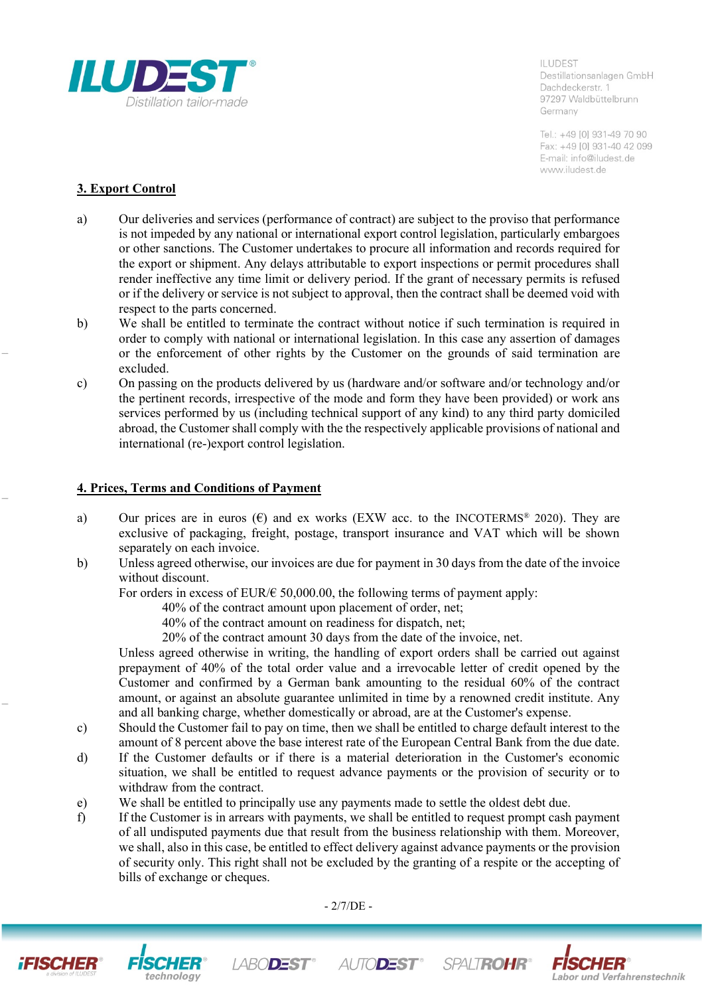

Tel.: +49 [0] 931-49 70 90 Fax: +49 [0] 931-40 42 099 E-mail: info@iludest.de www.iludest.de

# **3. Export Control**

- a) Our deliveries and services (performance of contract) are subject to the proviso that performance is not impeded by any national or international export control legislation, particularly embargoes or other sanctions. The Customer undertakes to procure all information and records required for the export or shipment. Any delays attributable to export inspections or permit procedures shall render ineffective any time limit or delivery period. If the grant of necessary permits is refused or if the delivery or service is not subject to approval, then the contract shall be deemed void with respect to the parts concerned.
- b) We shall be entitled to terminate the contract without notice if such termination is required in order to comply with national or international legislation. In this case any assertion of damages or the enforcement of other rights by the Customer on the grounds of said termination are excluded.
- c) On passing on the products delivered by us (hardware and/or software and/or technology and/or the pertinent records, irrespective of the mode and form they have been provided) or work ans services performed by us (including technical support of any kind) to any third party domiciled abroad, the Customer shall comply with the the respectively applicable provisions of national and international (re-)export control legislation.

#### **4. Prices, Terms and Conditions of Payment**

- a) Our prices are in euros  $(\epsilon)$  and ex works (EXW acc. to the INCOTERMS® 2020). They are exclusive of packaging, freight, postage, transport insurance and VAT which will be shown separately on each invoice.
- b) Unless agreed otherwise, our invoices are due for payment in 30 days from the date of the invoice without discount.
	- For orders in excess of EUR/ $\epsilon$  50,000.00, the following terms of payment apply:
		- 40% of the contract amount upon placement of order, net;
		- 40% of the contract amount on readiness for dispatch, net;
		- 20% of the contract amount 30 days from the date of the invoice, net.

Unless agreed otherwise in writing, the handling of export orders shall be carried out against prepayment of 40% of the total order value and a irrevocable letter of credit opened by the Customer and confirmed by a German bank amounting to the residual 60% of the contract amount, or against an absolute guarantee unlimited in time by a renowned credit institute. Any and all banking charge, whether domestically or abroad, are at the Customer's expense.

- c) Should the Customer fail to pay on time, then we shall be entitled to charge default interest to the amount of 8 percent above the base interest rate of the European Central Bank from the due date.
- d) If the Customer defaults or if there is a material deterioration in the Customer's economic situation, we shall be entitled to request advance payments or the provision of security or to withdraw from the contract.
- e) We shall be entitled to principally use any payments made to settle the oldest debt due.
- f) If the Customer is in arrears with payments, we shall be entitled to request prompt cash payment of all undisputed payments due that result from the business relationship with them. Moreover, we shall, also in this case, be entitled to effect delivery against advance payments or the provision of security only. This right shall not be excluded by the granting of a respite or the accepting of bills of exchange or cheques.

- 2/7/DE -







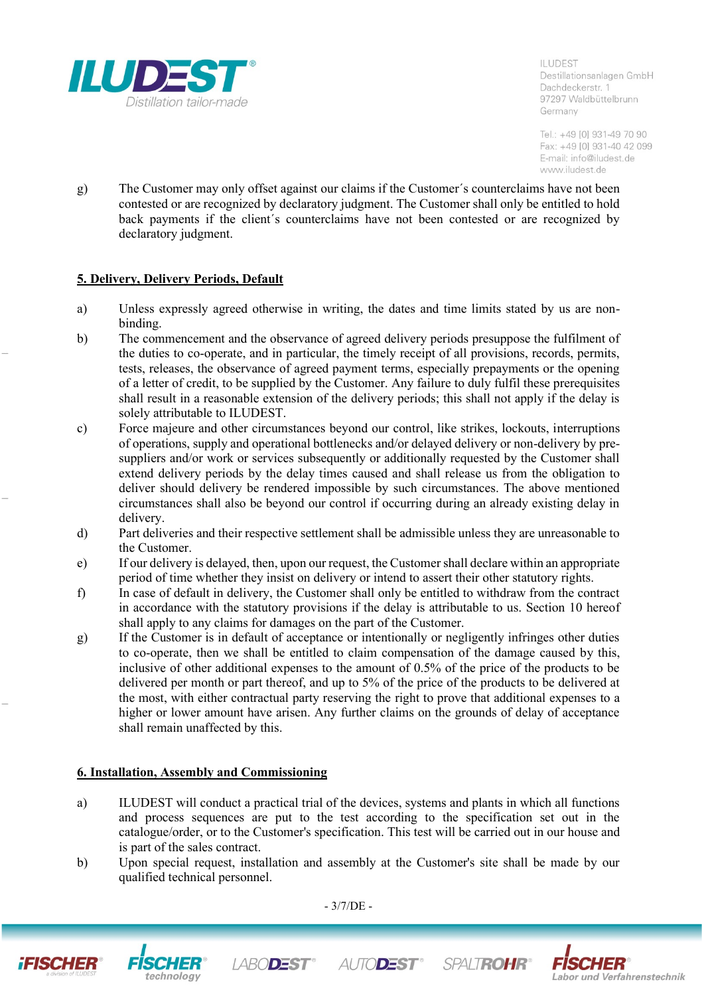

Tel.: +49 [0] 931-49 70 90 Fax: +49 [0] 931-40 42 099 E-mail: info@iludest.de www.iludest.de

g) The Customer may only offset against our claims if the Customer´s counterclaims have not been contested or are recognized by declaratory judgment. The Customer shall only be entitled to hold back payments if the client´s counterclaims have not been contested or are recognized by declaratory judgment.

#### **5. Delivery, Delivery Periods, Default**

- a) Unless expressly agreed otherwise in writing, the dates and time limits stated by us are nonbinding.
- b) The commencement and the observance of agreed delivery periods presuppose the fulfilment of the duties to co-operate, and in particular, the timely receipt of all provisions, records, permits, tests, releases, the observance of agreed payment terms, especially prepayments or the opening of a letter of credit, to be supplied by the Customer. Any failure to duly fulfil these prerequisites shall result in a reasonable extension of the delivery periods; this shall not apply if the delay is solely attributable to ILUDEST.
- c) Force majeure and other circumstances beyond our control, like strikes, lockouts, interruptions of operations, supply and operational bottlenecks and/or delayed delivery or non-delivery by presuppliers and/or work or services subsequently or additionally requested by the Customer shall extend delivery periods by the delay times caused and shall release us from the obligation to deliver should delivery be rendered impossible by such circumstances. The above mentioned circumstances shall also be beyond our control if occurring during an already existing delay in delivery.
- d) Part deliveries and their respective settlement shall be admissible unless they are unreasonable to the Customer.
- e) If our delivery is delayed, then, upon our request, the Customer shall declare within an appropriate period of time whether they insist on delivery or intend to assert their other statutory rights.
- f) In case of default in delivery, the Customer shall only be entitled to withdraw from the contract in accordance with the statutory provisions if the delay is attributable to us. Section 10 hereof shall apply to any claims for damages on the part of the Customer.
- g) If the Customer is in default of acceptance or intentionally or negligently infringes other duties to co-operate, then we shall be entitled to claim compensation of the damage caused by this, inclusive of other additional expenses to the amount of 0.5% of the price of the products to be delivered per month or part thereof, and up to 5% of the price of the products to be delivered at the most, with either contractual party reserving the right to prove that additional expenses to a higher or lower amount have arisen. Any further claims on the grounds of delay of acceptance shall remain unaffected by this.

#### **6. Installation, Assembly and Commissioning**

- a) ILUDEST will conduct a practical trial of the devices, systems and plants in which all functions and process sequences are put to the test according to the specification set out in the catalogue/order, or to the Customer's specification. This test will be carried out in our house and is part of the sales contract.
- b) Upon special request, installation and assembly at the Customer's site shall be made by our qualified technical personnel.

- 3/7/DE -







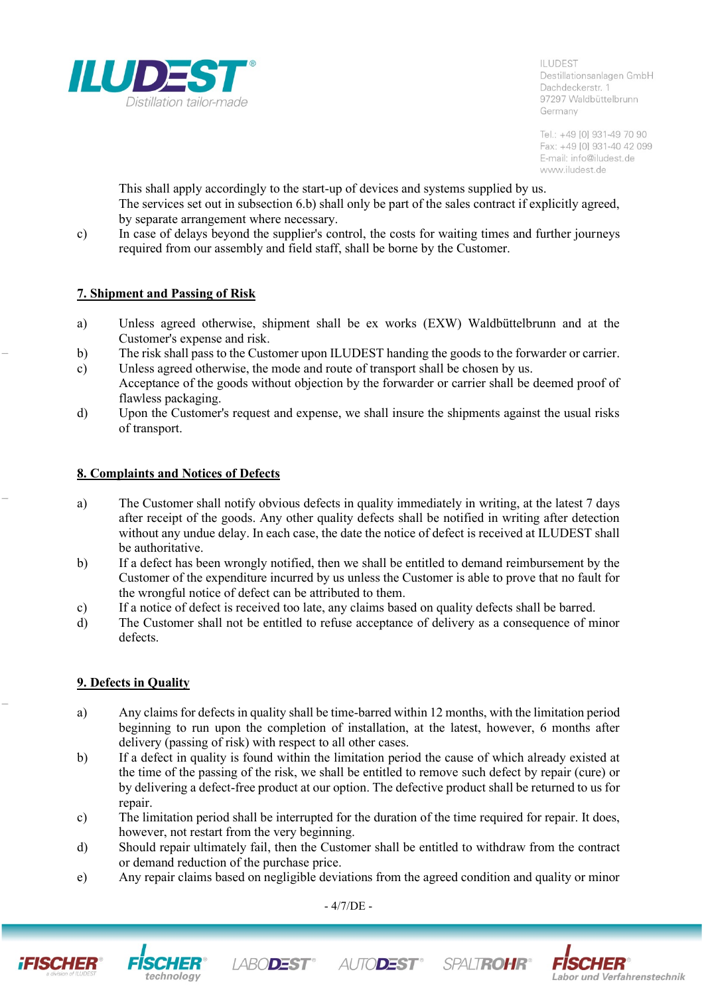

Tel.: +49 [0] 931-49 70 90 Fax: +49 [0] 931-40 42 099 E-mail: info@iludest.de www.iludest.de

This shall apply accordingly to the start-up of devices and systems supplied by us. The services set out in subsection 6.b) shall only be part of the sales contract if explicitly agreed, by separate arrangement where necessary.

c) In case of delays beyond the supplier's control, the costs for waiting times and further journeys required from our assembly and field staff, shall be borne by the Customer.

## **7. Shipment and Passing of Risk**

- a) Unless agreed otherwise, shipment shall be ex works (EXW) Waldbüttelbrunn and at the Customer's expense and risk.
- b) The risk shall pass to the Customer upon ILUDEST handing the goods to the forwarder or carrier.
- c) Unless agreed otherwise, the mode and route of transport shall be chosen by us. Acceptance of the goods without objection by the forwarder or carrier shall be deemed proof of flawless packaging.
- d) Upon the Customer's request and expense, we shall insure the shipments against the usual risks of transport.

#### **8. Complaints and Notices of Defects**

- a) The Customer shall notify obvious defects in quality immediately in writing, at the latest 7 days after receipt of the goods. Any other quality defects shall be notified in writing after detection without any undue delay. In each case, the date the notice of defect is received at ILUDEST shall be authoritative.
- b) If a defect has been wrongly notified, then we shall be entitled to demand reimbursement by the Customer of the expenditure incurred by us unless the Customer is able to prove that no fault for the wrongful notice of defect can be attributed to them.
- c) If a notice of defect is received too late, any claims based on quality defects shall be barred.
- d) The Customer shall not be entitled to refuse acceptance of delivery as a consequence of minor defects.

## **9. Defects in Quality**

- a) Any claims for defects in quality shall be time-barred within 12 months, with the limitation period beginning to run upon the completion of installation, at the latest, however, 6 months after delivery (passing of risk) with respect to all other cases.
- b) If a defect in quality is found within the limitation period the cause of which already existed at the time of the passing of the risk, we shall be entitled to remove such defect by repair (cure) or by delivering a defect-free product at our option. The defective product shall be returned to us for repair.
- c) The limitation period shall be interrupted for the duration of the time required for repair. It does, however, not restart from the very beginning.
- d) Should repair ultimately fail, then the Customer shall be entitled to withdraw from the contract or demand reduction of the purchase price.
- e) Any repair claims based on negligible deviations from the agreed condition and quality or minor

- 4/7/DE -







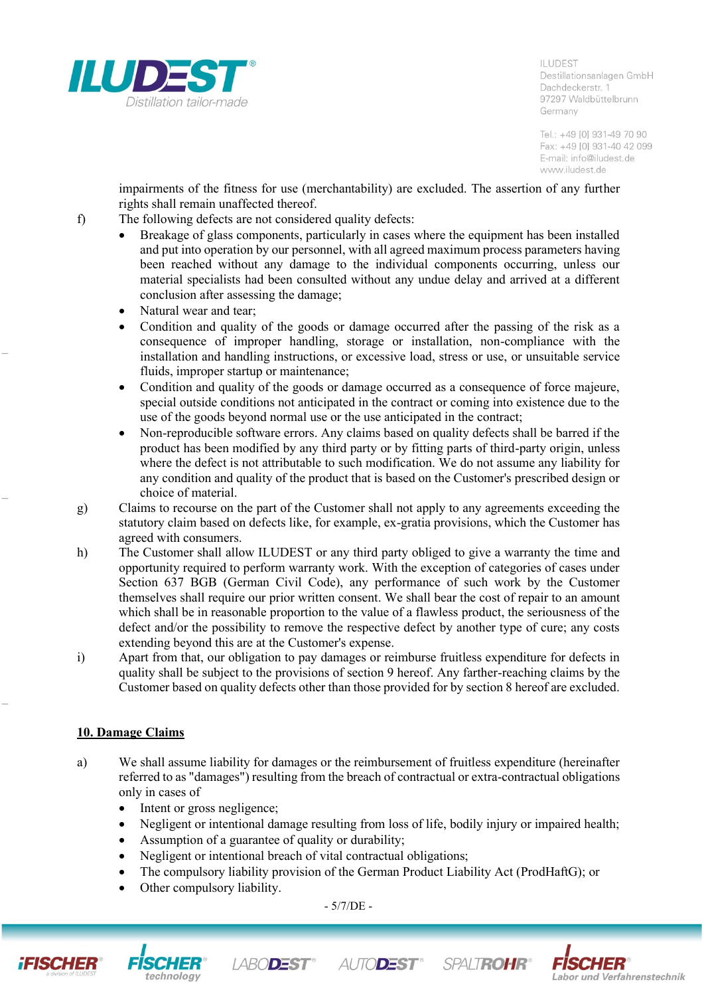

Tel.: +49 [0] 931-49 70 90 Fax: +49 [0] 931-40 42 099 E-mail: info@iludest.de www.iludest.de

impairments of the fitness for use (merchantability) are excluded. The assertion of any further rights shall remain unaffected thereof.

- f) The following defects are not considered quality defects:
	- Breakage of glass components, particularly in cases where the equipment has been installed and put into operation by our personnel, with all agreed maximum process parameters having been reached without any damage to the individual components occurring, unless our material specialists had been consulted without any undue delay and arrived at a different conclusion after assessing the damage;
	- Natural wear and tear;
	- Condition and quality of the goods or damage occurred after the passing of the risk as a consequence of improper handling, storage or installation, non-compliance with the installation and handling instructions, or excessive load, stress or use, or unsuitable service fluids, improper startup or maintenance;
	- Condition and quality of the goods or damage occurred as a consequence of force majeure, special outside conditions not anticipated in the contract or coming into existence due to the use of the goods beyond normal use or the use anticipated in the contract;
	- Non-reproducible software errors. Any claims based on quality defects shall be barred if the product has been modified by any third party or by fitting parts of third-party origin, unless where the defect is not attributable to such modification. We do not assume any liability for any condition and quality of the product that is based on the Customer's prescribed design or choice of material.
- g) Claims to recourse on the part of the Customer shall not apply to any agreements exceeding the statutory claim based on defects like, for example, ex-gratia provisions, which the Customer has agreed with consumers.
- h) The Customer shall allow ILUDEST or any third party obliged to give a warranty the time and opportunity required to perform warranty work. With the exception of categories of cases under Section 637 BGB (German Civil Code), any performance of such work by the Customer themselves shall require our prior written consent. We shall bear the cost of repair to an amount which shall be in reasonable proportion to the value of a flawless product, the seriousness of the defect and/or the possibility to remove the respective defect by another type of cure; any costs extending beyond this are at the Customer's expense.
- i) Apart from that, our obligation to pay damages or reimburse fruitless expenditure for defects in quality shall be subject to the provisions of section 9 hereof. Any farther-reaching claims by the Customer based on quality defects other than those provided for by section 8 hereof are excluded.

## **10. Damage Claims**

- a) We shall assume liability for damages or the reimbursement of fruitless expenditure (hereinafter referred to as "damages") resulting from the breach of contractual or extra-contractual obligations only in cases of
	- Intent or gross negligence;
	- Negligent or intentional damage resulting from loss of life, bodily injury or impaired health;
	- Assumption of a guarantee of quality or durability;
	- Negligent or intentional breach of vital contractual obligations;
	- The compulsory liability provision of the German Product Liability Act (ProdHaftG); or
	- Other compulsory liability.

- 5/7/DE -







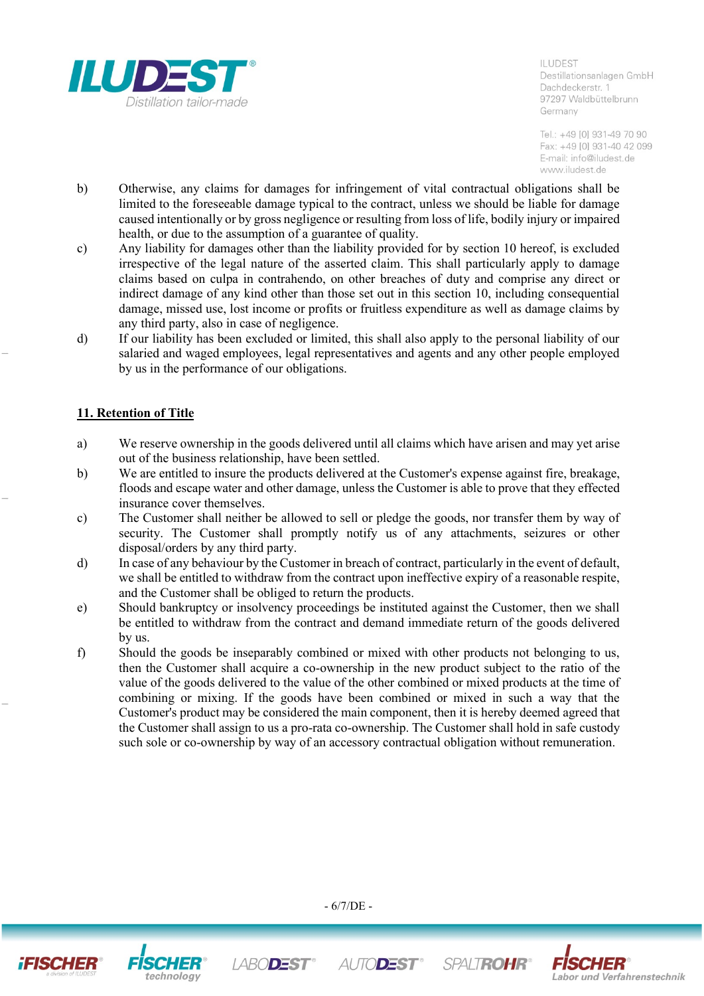

Tel.: +49 [0] 931-49 70 90 Fax: +49 [0] 931-40 42 099 E-mail: info@iludest.de www.iludest.de

- b) Otherwise, any claims for damages for infringement of vital contractual obligations shall be limited to the foreseeable damage typical to the contract, unless we should be liable for damage caused intentionally or by gross negligence or resulting from loss of life, bodily injury or impaired health, or due to the assumption of a guarantee of quality.
- c) Any liability for damages other than the liability provided for by section 10 hereof, is excluded irrespective of the legal nature of the asserted claim. This shall particularly apply to damage claims based on culpa in contrahendo, on other breaches of duty and comprise any direct or indirect damage of any kind other than those set out in this section 10, including consequential damage, missed use, lost income or profits or fruitless expenditure as well as damage claims by any third party, also in case of negligence.
- d) If our liability has been excluded or limited, this shall also apply to the personal liability of our salaried and waged employees, legal representatives and agents and any other people employed by us in the performance of our obligations.

# **11. Retention of Title**

- a) We reserve ownership in the goods delivered until all claims which have arisen and may yet arise out of the business relationship, have been settled.
- b) We are entitled to insure the products delivered at the Customer's expense against fire, breakage, floods and escape water and other damage, unless the Customer is able to prove that they effected insurance cover themselves.
- c) The Customer shall neither be allowed to sell or pledge the goods, nor transfer them by way of security. The Customer shall promptly notify us of any attachments, seizures or other disposal/orders by any third party.
- d) In case of any behaviour by the Customer in breach of contract, particularly in the event of default, we shall be entitled to withdraw from the contract upon ineffective expiry of a reasonable respite, and the Customer shall be obliged to return the products.
- e) Should bankruptcy or insolvency proceedings be instituted against the Customer, then we shall be entitled to withdraw from the contract and demand immediate return of the goods delivered by us.
- f) Should the goods be inseparably combined or mixed with other products not belonging to us, then the Customer shall acquire a co-ownership in the new product subject to the ratio of the value of the goods delivered to the value of the other combined or mixed products at the time of combining or mixing. If the goods have been combined or mixed in such a way that the Customer's product may be considered the main component, then it is hereby deemed agreed that the Customer shall assign to us a pro-rata co-ownership. The Customer shall hold in safe custody such sole or co-ownership by way of an accessory contractual obligation without remuneration.





technology



- 6/7/DE -

**SPALTROHR® FISCHER**